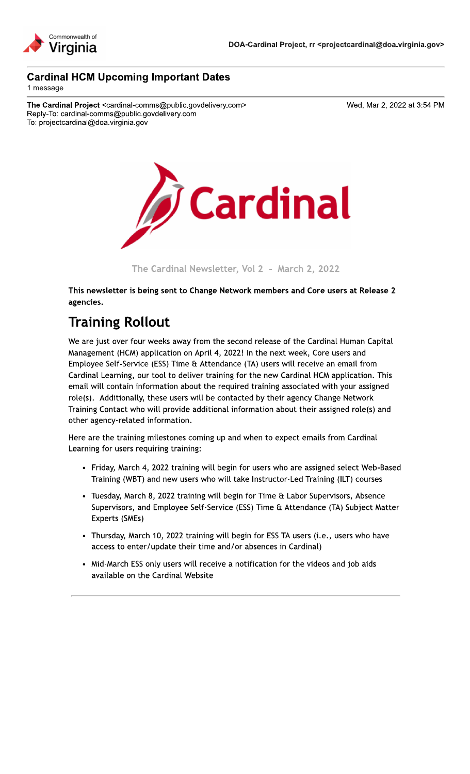

#### **Cardinal HCM Upcoming Important Dates**

1 message

The Cardinal Project <cardinal-comms@public.govdelivery.com> Reply-To: cardinal-comms@public.govdelivery.com To: projectcardinal@doa virginia.gov

Wed, Mar 2, 2022 at 3:54 PM



The Cardinal Newsletter, Vol 2 - March 2, 2022

This newsletter is being sent to Change Network members and Core users at Release 2 agencies.

# **Training Rollout**

We are just over four weeks away from the second release of the Cardinal Human Capital Management (HCM) application on April 4, 2022! In the next week, Core users and Employee Self-Service (ESS) Time & Attendance (TA) users will receive an email from Cardinal Learning, our tool to deliver training for the new Cardinal HCM application. This email will contain information about the required training associated with your assigned role(s). Additionally, these users will be contacted by their agency Change Network Training Contact who will provide additional information about their assigned role(s) and other agency-related information.

Here are the training milestones coming up and when to expect emails from Cardinal Learning for users requiring training:

- Friday, March 4, 2022 training will begin for users who are assigned select Web-Based Training (WBT) and new users who will take Instructor-Led Training (ILT) courses
- Tuesday, March 8, 2022 training will begin for Time & Labor Supervisors, Absence Supervisors, and Employee Self-Service (ESS) Time & Attendance (TA) Subject Matter Experts (SMEs)
- Thursday, March 10, 2022 training will begin for ESS TA users (i.e., users who have access to enter/update their time and/or absences in Cardinal)
- Mid-March ESS only users will receive a notification for the videos and job aids available on the Cardinal Website